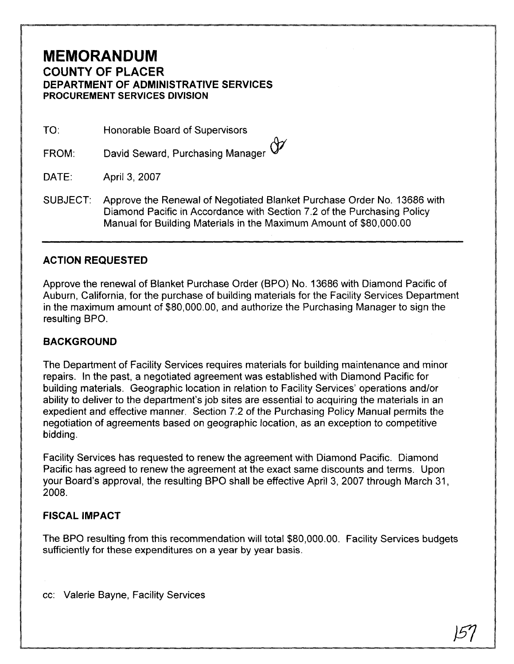## **MEMORANDUM COUNTY OF PLACER DEPARTMENT OF ADMINISTRATIVE SERVICES PROCUREMENT SERVICES DIVISION**

TO: Honorable Board of Supervisors

David Seward, Purchasing Manager  $\bigoplus$ FROM:

 $DATE:$ April 3, 2007

SUBJECT: Approve the Renewal of Negotiated Blanket Purchase Order No. 13686 with Diamond Pacific in Accordance with Section 7.2 of the Purchasing Policy Manual for Building Materials in the Maximum Amount of \$80,000.00

## **ACTION REQUESTED**

Approve the renewal of Blanket Purchase Order (BPO) No. 13686 with Diamond Pacific of Auburn, California, for the purchase of building materials for the Facility Services Department in the maximum amount of \$80,000.00, and authorize the Purchasing Manager to sign the resulting BPO.

## **BACKGROUND**

The Department of Facility Services requires materials for building maintenance and minor repairs. In the past, a negotiated agreement was established with Diamond Pacific for building materials. Geographic location in relation to Facility Services' operations and/or ability to deliver to the department's job sites are essential to acquiring the materials in an expedient and effective manner. Section 7.2 of the Purchasing Policy Manual permits the negotiation of agreements based on geographic location, as an exception to competitive bidding.

Facility Services has requested to renew the agreement with Diamond Pacific. Diamond Pacific has agreed to renew the agreement at the exact same discounts and terms. Upon your Board's approval, the resulting BPO shall be effective April 3, 2007 through March 31, 2008.

## **FISCAL IMPACT**

The BPO resulting from this recommendation will total \$80,000.00. Facility Services budgets sufficiently for these expenditures on a year by year basis.

cc: Valerie Bayne, Facility Services